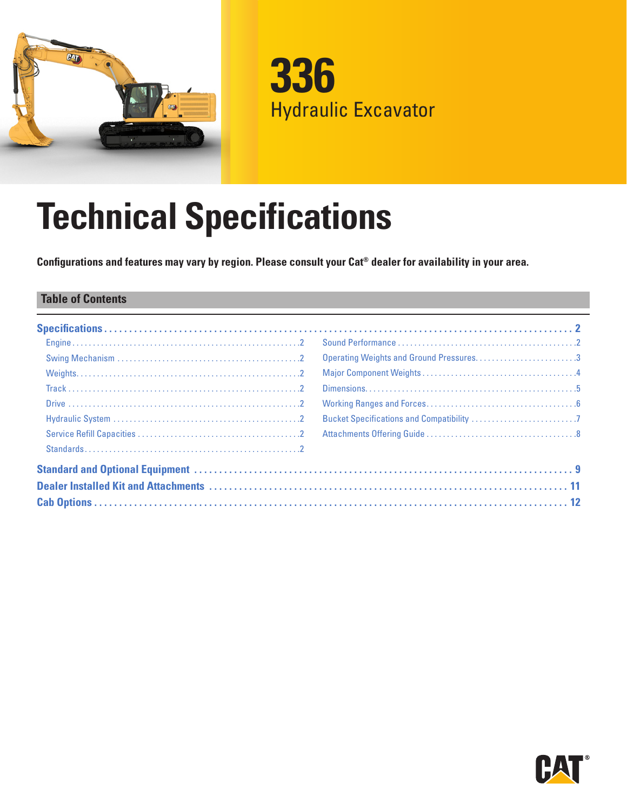

**336** Hydraulic Excavator

# **Technical Specifications**

**Configurations and features may vary by region. Please consult your Cat® dealer for availability in your area.**

#### **Table of Contents**

| Operating Weights and Ground Pressures3 |
|-----------------------------------------|
|                                         |
|                                         |
|                                         |
|                                         |
|                                         |
|                                         |
|                                         |
|                                         |
|                                         |

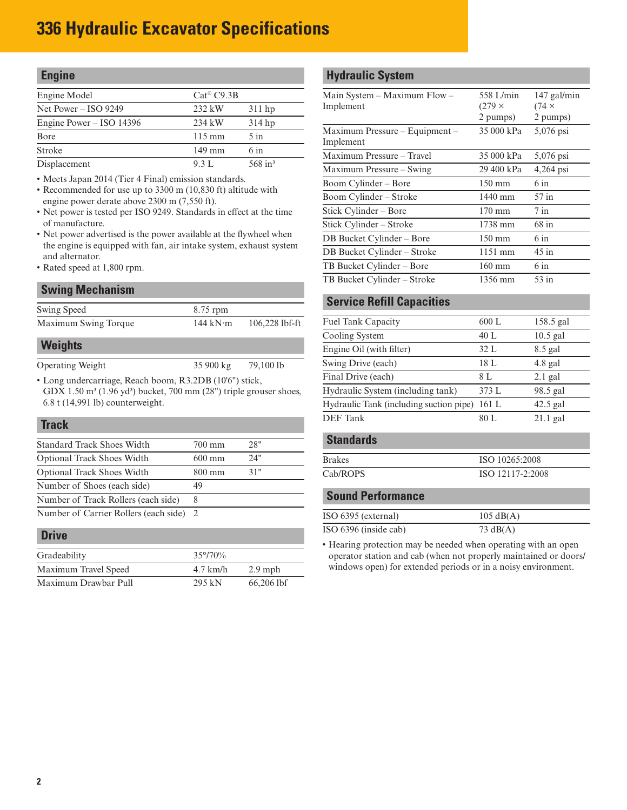# <span id="page-1-0"></span>**336 Hydraulic Excavator Specifications**

| <b>Engine</b>              |                        |                       |
|----------------------------|------------------------|-----------------------|
| Engine Model               | $Cat^{\circledR}C9.3B$ |                       |
| Net Power $-$ ISO 9249     | $232$ kW               | $311$ hp              |
| Engine Power $-$ ISO 14396 | 234 kW                 | $314$ hp              |
| Bore                       | $115 \text{ mm}$       | $5 \infty$            |
| <b>Stroke</b>              | $149$ mm               | $6 \infty$            |
| Displacement               | 9.3 L                  | $568$ in <sup>3</sup> |

• Meets Japan 2014 (Tier 4 Final) emission standards.

- Recommended for use up to 3300 m (10,830 ft) altitude with engine power derate above 2300 m (7,550 ft).
- Net power is tested per ISO 9249. Standards in effect at the time of manufacture.
- Net power advertised is the power available at the flywheel when the engine is equipped with fan, air intake system, exhaust system and alternator.
- Rated speed at 1,800 rpm.

#### **Swing Mechanism**

| Swing Speed             | $8.75$ rpm         |                  |
|-------------------------|--------------------|------------------|
| Maximum Swing Torque    | 144 k $N$ ·m       | $106,228$ lbf-ft |
| <b>Weights</b>          |                    |                  |
| <b>Operating Weight</b> | $35900 \text{ kg}$ | 79,100 lb        |

• Long undercarriage, Reach boom, R3.2DB (10'6") stick, GDX  $1.50 \text{ m}^3$  (1.96 yd<sup>3</sup>) bucket, 700 mm (28") triple grouser shoes, 6.8 t (14,991 lb) counterweight.

# **Track** Standard Track Shoes Width 700 mm 28"

| <b>Optional Track Shoes Width</b>       | $600 \text{ mm}$ | 24" |
|-----------------------------------------|------------------|-----|
| <b>Optional Track Shoes Width</b>       | $800 \text{ mm}$ | 31" |
| Number of Shoes (each side)             | 49               |     |
| Number of Track Rollers (each side)     |                  |     |
| Number of Carrier Rollers (each side) 2 |                  |     |

#### **Drive**

| Gradeability         | $35^{\circ}/70\%$  |              |
|----------------------|--------------------|--------------|
| Maximum Travel Speed | $4.7 \text{ km/h}$ | $2.9$ mph    |
| Maximum Drawbar Pull | 295 kN             | $66,206$ lbf |

### **Hydraulic System**

| Main System – Maximum Flow –<br>Implement   | 558 L/min<br>$(279 \times$<br>2 pumps) | $147$ gal/min<br>$(74 \times$<br>2 pumps) |
|---------------------------------------------|----------------------------------------|-------------------------------------------|
| Maximum Pressure – Equipment –<br>Implement | 35 000 kPa                             | 5,076 psi                                 |
| Maximum Pressure - Travel                   | 35 000 kPa                             | 5,076 psi                                 |
| Maximum Pressure - Swing                    | 29 400 kPa                             | 4,264 psi                                 |
| Boom Cylinder – Bore                        | $150 \text{ mm}$                       | 6 in                                      |
| Boom Cylinder - Stroke                      | 1440 mm                                | $57$ in                                   |
| Stick Cylinder - Bore                       | $170 \text{ mm}$                       | $7$ in                                    |
| Stick Cylinder – Stroke                     | 1738 mm                                | $68$ in                                   |
| DB Bucket Cylinder - Bore                   | $150 \text{ mm}$                       | $6 \text{ in}$                            |
| DB Bucket Cylinder - Stroke                 | 1151 mm                                | $45$ in                                   |
| TB Bucket Cylinder - Bore                   | $160 \text{ mm}$                       | $6 \text{ in}$                            |
| TB Bucket Cylinder - Stroke                 | 1356 mm                                | $53$ in                                   |
|                                             |                                        |                                           |

#### **Service Refill Capacities**

| Fuel Tank Capacity                      | 600 L | 158.5 gal  |
|-----------------------------------------|-------|------------|
| Cooling System                          | 40 L  | $10.5$ gal |
| Engine Oil (with filter)                | 32L   | 8.5 gal    |
| Swing Drive (each)                      | 18 L  | $4.8$ gal  |
| Final Drive (each)                      | 8 L   | $2.1$ gal  |
| Hydraulic System (including tank)       | 373 L | 98.5 gal   |
| Hydraulic Tank (including suction pipe) | 161 L | $42.5$ gal |
| <b>DEF</b> Tank                         | 80 L  | $21.1$ gal |
| <b>Standards</b>                        |       |            |
|                                         |       |            |

| <b>Brakes</b> | ISO 10265:2008   |
|---------------|------------------|
| Cab/ROPS      | ISO 12117-2:2008 |

#### **Sound Performance**

| ISO 6395 (external)   | $105 \text{ dB}(A)$ |
|-----------------------|---------------------|
| ISO 6396 (inside cab) | 73 $dB(A)$          |

• Hearing protection may be needed when operating with an open operator station and cab (when not properly maintained or doors/ windows open) for extended periods or in a noisy environment.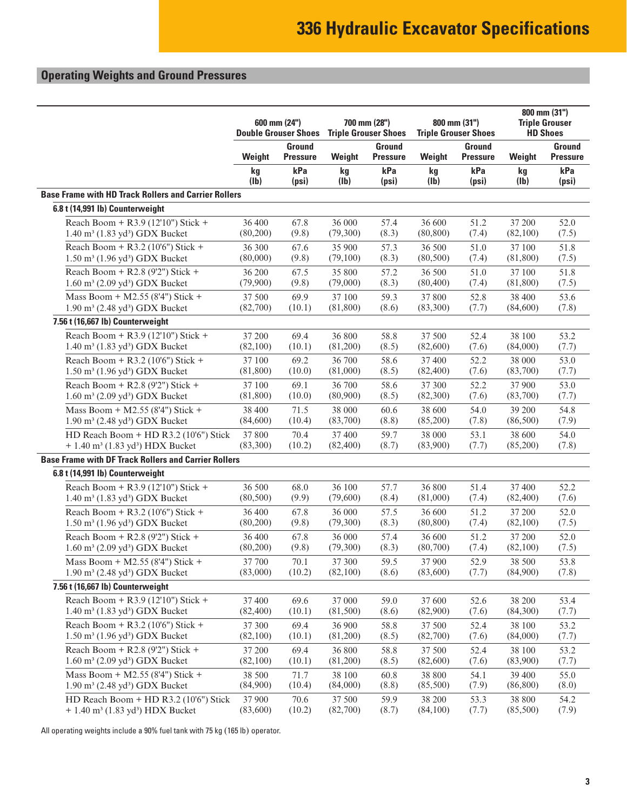# <span id="page-2-0"></span>**Operating Weights and Ground Pressures**

|                                                             | 600 mm (24")<br><b>Double Grouser Shoes</b> |                                  | 700 mm (28")      | <b>Triple Grouser Shoes</b>      |           | 800 mm (31")<br><b>Triple Grouser Shoes</b> | 800 mm (31")<br><b>Triple Grouser</b><br><b>HD Shoes</b> |                           |  |
|-------------------------------------------------------------|---------------------------------------------|----------------------------------|-------------------|----------------------------------|-----------|---------------------------------------------|----------------------------------------------------------|---------------------------|--|
|                                                             | Weight                                      | <b>Ground</b><br><b>Pressure</b> | Weight            | <b>Ground</b><br><b>Pressure</b> | Weight    | Ground<br><b>Pressure</b>                   | Weight                                                   | Ground<br><b>Pressure</b> |  |
|                                                             | kg                                          | kPa                              | kg                | kPa                              | kg        | kPa                                         | kg                                                       | kPa                       |  |
|                                                             | (Ib)                                        | (psi)                            | (I <sub>b</sub> ) | (psi)                            | (Ib)      | (psi)                                       | (Ib)                                                     | (psi)                     |  |
| <b>Base Frame with HD Track Rollers and Carrier Rollers</b> |                                             |                                  |                   |                                  |           |                                             |                                                          |                           |  |
| 6.8 t (14,991 lb) Counterweight                             |                                             |                                  |                   |                                  |           |                                             |                                                          |                           |  |
| Reach Boom + R3.9 (12'10") Stick +                          | 36 400                                      | 67.8                             | 36 000            | 57.4                             | 36 600    | 51.2                                        | 37 200                                                   | 52.0                      |  |
| 1.40 m <sup>3</sup> (1.83 yd <sup>3</sup> ) GDX Bucket      | (80,200)                                    | (9.8)                            | (79,300)          | (8.3)                            | (80, 800) | (7.4)                                       | (82,100)                                                 | (7.5)                     |  |
| Reach Boom + R3.2 (10'6") Stick +                           | 36 300                                      | 67.6                             | 35 900            | 57.3                             | 36 500    | 51.0                                        | 37 100                                                   | 51.8                      |  |
| 1.50 m <sup>3</sup> (1.96 yd <sup>3</sup> ) GDX Bucket      | (80,000)                                    | (9.8)                            | (79,100)          | (8.3)                            | (80, 500) | (7.4)                                       | (81, 800)                                                | (7.5)                     |  |
| Reach Boom + R2.8 (9'2") Stick +                            | 36 200                                      | 67.5                             | 35 800            | 57.2                             | 36 500    | 51.0                                        | 37 100                                                   | 51.8                      |  |
| 1.60 m <sup>3</sup> (2.09 yd <sup>3</sup> ) GDX Bucket      | (79,900)                                    | (9.8)                            | (79,000)          | (8.3)                            | (80, 400) | (7.4)                                       | (81, 800)                                                | (7.5)                     |  |
| Mass Boom + M2.55 (8'4") Stick +                            | 37 500                                      | 69.9                             | 37 100            | 59.3                             | 37 800    | 52.8                                        | 38 400                                                   | 53.6                      |  |
| 1.90 m <sup>3</sup> (2.48 yd <sup>3</sup> ) GDX Bucket      | (82,700)                                    | (10.1)                           | (81, 800)         | (8.6)                            | (83,300)  | (7.7)                                       | (84,600)                                                 | (7.8)                     |  |
| 7.56 t (16,667 lb) Counterweight                            |                                             |                                  |                   |                                  |           |                                             |                                                          |                           |  |
| Reach Boom + R3.9 (12'10") Stick +                          | 37 200                                      | 69.4                             | 36 800            | 58.8                             | 37 500    | 52.4                                        | 38 100                                                   | 53.2                      |  |
| 1.40 m <sup>3</sup> (1.83 yd <sup>3</sup> ) GDX Bucket      | (82,100)                                    | (10.1)                           | (81,200)          | (8.5)                            | (82, 600) | (7.6)                                       | (84,000)                                                 | (7.7)                     |  |
| Reach Boom + R3.2 (10'6") Stick +                           | 37 100                                      | 69.2                             | 36 700            | 58.6                             | 37 400    | 52.2                                        | 38 000                                                   | 53.0                      |  |
| 1.50 m <sup>3</sup> (1.96 yd <sup>3</sup> ) GDX Bucket      | (81,800)                                    | (10.0)                           | (81,000)          | (8.5)                            | (82, 400) | (7.6)                                       | (83,700)                                                 | (7.7)                     |  |
| Reach Boom + R2.8 (9'2") Stick +                            | 37 100                                      | 69.1                             | 36 700            | 58.6                             | 37 300    | 52.2                                        | 37 900                                                   | 53.0                      |  |
| 1.60 m <sup>3</sup> (2.09 yd <sup>3</sup> ) GDX Bucket      | (81, 800)                                   | (10.0)                           | (80,900)          | (8.5)                            | (82,300)  | (7.6)                                       | (83,700)                                                 | (7.7)                     |  |
| Mass Boom + M2.55 (8'4") Stick +                            | 38 400                                      | 71.5                             | 38 000            | 60.6                             | 38 600    | 54.0                                        | 39 200                                                   | 54.8                      |  |
| 1.90 m <sup>3</sup> (2.48 yd <sup>3</sup> ) GDX Bucket      | (84,600)                                    | (10.4)                           | (83,700)          | (8.8)                            | (85,200)  | (7.8)                                       | (86, 500)                                                | (7.9)                     |  |
| HD Reach Boom + HD R3.2 (10'6") Stick                       | 37 800                                      | 70.4                             | 37 400            | 59.7                             | 38 000    | 53.1                                        | 38 600                                                   | 54.0                      |  |
| + 1.40 m <sup>3</sup> (1.83 yd <sup>3</sup> ) HDX Bucket    | (83,300)                                    | (10.2)                           | (82,400)          | (8.7)                            | (83,900)  | (7.7)                                       | (85,200)                                                 | (7.8)                     |  |
| <b>Base Frame with DF Track Rollers and Carrier Rollers</b> |                                             |                                  |                   |                                  |           |                                             |                                                          |                           |  |
| 6.8 t (14,991 lb) Counterweight                             |                                             |                                  |                   |                                  |           |                                             |                                                          |                           |  |
| Reach Boom + R3.9 (12'10") Stick +                          | 36 500                                      | 68.0                             | 36 100            | 57.7                             | 36 800    | 51.4                                        | 37 400                                                   | 52.2                      |  |
| 1.40 m <sup>3</sup> (1.83 yd <sup>3</sup> ) GDX Bucket      | (80, 500)                                   | (9.9)                            | (79,600)          | (8.4)                            | (81,000)  | (7.4)                                       | (82,400)                                                 | (7.6)                     |  |
| Reach Boom + R3.2 (10'6") Stick +                           | 36 400                                      | 67.8                             | 36 000            | 57.5                             | 36 600    | 51.2                                        | 37 200                                                   | 52.0                      |  |
| 1.50 m <sup>3</sup> (1.96 yd <sup>3</sup> ) GDX Bucket      | (80,200)                                    | (9.8)                            | (79,300)          | (8.3)                            | (80, 800) | (7.4)                                       | (82,100)                                                 | (7.5)                     |  |
| Reach Boom + R2.8 (9'2") Stick +                            | 36 400                                      | 67.8                             | 36 000            | 57.4                             | 36 600    | 51.2                                        | 37 200                                                   | 52.0                      |  |
| 1.60 m <sup>3</sup> (2.09 yd <sup>3</sup> ) GDX Bucket      | (80,200)                                    | (9.8)                            | (79,300)          | (8.3)                            | (80,700)  | (7.4)                                       | (82,100)                                                 | (7.5)                     |  |
| Mass Boom + M2.55 (8'4") Stick +                            | 37 700                                      | 70.1                             | 37 300            | 59.5                             | 37 900    | 52.9                                        | 38 500                                                   | 53.8                      |  |
| $1.90 \text{ m}^3$ (2.48 yd <sup>3</sup> ) GDX Bucket       | (83,000)                                    | (10.2)                           | (82,100)          | (8.6)                            | (83,600)  | (7.7)                                       | (84,900)                                                 | (7.8)                     |  |
| 7.56 t (16,667 lb) Counterweight                            |                                             |                                  |                   |                                  |           |                                             |                                                          |                           |  |
| Reach Boom + R3.9 (12'10") Stick +                          | 37 400                                      | 69.6                             | 37 000            | 59.0                             | 37 600    | 52.6                                        | 38 200                                                   | 53.4                      |  |
| $1.40 \text{ m}^3$ (1.83 yd <sup>3</sup> ) GDX Bucket       | (82, 400)                                   | (10.1)                           | (81,500)          | (8.6)                            | (82,900)  | (7.6)                                       | (84,300)                                                 | (7.7)                     |  |
| Reach Boom + R3.2 (10'6") Stick +                           | 37 300                                      | 69.4                             | 36 900            | 58.8                             | 37 500    | 52.4                                        | 38 100                                                   | 53.2                      |  |
| $1.50 \text{ m}^3$ (1.96 yd <sup>3</sup> ) GDX Bucket       | (82,100)                                    | (10.1)                           | (81,200)          | (8.5)                            | (82,700)  | (7.6)                                       | (84,000)                                                 | (7.7)                     |  |
| Reach Boom + R2.8 (9'2") Stick +                            | 37 200                                      | 69.4                             | 36 800            | 58.8                             | 37 500    | 52.4                                        | 38 100                                                   | 53.2                      |  |
| $1.60 \text{ m}^3$ (2.09 yd <sup>3</sup> ) GDX Bucket       | (82,100)                                    | (10.1)                           | (81,200)          | (8.5)                            | (82,600)  | (7.6)                                       | (83,900)                                                 | (7.7)                     |  |
| Mass Boom + M2.55 (8'4") Stick +                            | 38 500                                      | 71.7                             | 38 100            | 60.8                             | 38 800    | 54.1                                        | 39 400                                                   | 55.0                      |  |
| 1.90 m <sup>3</sup> (2.48 yd <sup>3</sup> ) GDX Bucket      | (84,900)                                    | (10.4)                           | (84,000)          | (8.8)                            | (85,500)  | (7.9)                                       | (86, 800)                                                | (8.0)                     |  |
| HD Reach Boom + HD R3.2 (10'6") Stick                       | 37 900                                      | 70.6                             | 37 500            | 59.9                             | 38 200    | 53.3                                        | 38 800                                                   | 54.2                      |  |
| + 1.40 m <sup>3</sup> (1.83 yd <sup>3</sup> ) HDX Bucket    | (83,600)                                    | (10.2)                           | (82,700)          | (8.7)                            | (84,100)  | (7.7)                                       | (85,500)                                                 | (7.9)                     |  |

All operating weights include a 90% fuel tank with 75 kg (165 lb) operator.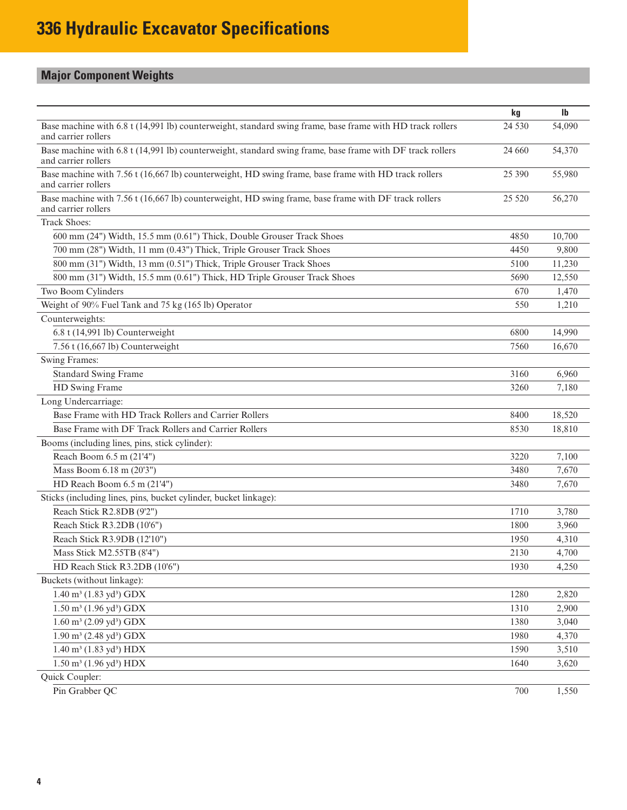# <span id="page-3-0"></span>**Major Component Weights**

|                                                                                                                                  | kg      | $\mathbf{I}$ |
|----------------------------------------------------------------------------------------------------------------------------------|---------|--------------|
| Base machine with 6.8 t (14,991 lb) counterweight, standard swing frame, base frame with HD track rollers<br>and carrier rollers | 24 5 30 | 54,090       |
| Base machine with 6.8 t (14,991 lb) counterweight, standard swing frame, base frame with DF track rollers<br>and carrier rollers | 24 660  | 54,370       |
| Base machine with 7.56 t (16,667 lb) counterweight, HD swing frame, base frame with HD track rollers<br>and carrier rollers      | 25 390  | 55,980       |
| Base machine with 7.56 t (16,667 lb) counterweight, HD swing frame, base frame with DF track rollers<br>and carrier rollers      | 25 5 20 | 56,270       |
| <b>Track Shoes:</b>                                                                                                              |         |              |
| 600 mm (24") Width, 15.5 mm (0.61") Thick, Double Grouser Track Shoes                                                            | 4850    | 10,700       |
| 700 mm (28") Width, 11 mm (0.43") Thick, Triple Grouser Track Shoes                                                              | 4450    | 9,800        |
| 800 mm (31") Width, 13 mm (0.51") Thick, Triple Grouser Track Shoes                                                              | 5100    | 11,230       |
| 800 mm (31") Width, 15.5 mm (0.61") Thick, HD Triple Grouser Track Shoes                                                         | 5690    | 12,550       |
| Two Boom Cylinders                                                                                                               | 670     | 1,470        |
| Weight of 90% Fuel Tank and 75 kg (165 lb) Operator                                                                              | 550     | 1,210        |
| Counterweights:                                                                                                                  |         |              |
| 6.8 t (14,991 lb) Counterweight                                                                                                  | 6800    | 14,990       |
| 7.56 t (16,667 lb) Counterweight                                                                                                 | 7560    | 16,670       |
| Swing Frames:                                                                                                                    |         |              |
| <b>Standard Swing Frame</b>                                                                                                      | 3160    | 6,960        |
| HD Swing Frame                                                                                                                   | 3260    | 7,180        |
| Long Undercarriage:                                                                                                              |         |              |
| Base Frame with HD Track Rollers and Carrier Rollers                                                                             | 8400    | 18,520       |
| Base Frame with DF Track Rollers and Carrier Rollers                                                                             | 8530    | 18,810       |
| Booms (including lines, pins, stick cylinder):                                                                                   |         |              |
| Reach Boom 6.5 m (21'4")                                                                                                         | 3220    | 7,100        |
| Mass Boom 6.18 m (20'3")                                                                                                         | 3480    | 7,670        |
| HD Reach Boom 6.5 m (21'4")                                                                                                      | 3480    | 7,670        |
| Sticks (including lines, pins, bucket cylinder, bucket linkage):                                                                 |         |              |
| Reach Stick R2.8DB (9'2")                                                                                                        | 1710    | 3,780        |
| Reach Stick R3.2DB (10'6")                                                                                                       | 1800    | 3,960        |
| Reach Stick R3.9DB (12'10")                                                                                                      | 1950    | 4,310        |
| Mass Stick M2.55TB (8'4")                                                                                                        | 2130    | 4,700        |
| HD Reach Stick R3.2DB (10'6")                                                                                                    | 1930    | 4,250        |
| Buckets (without linkage):                                                                                                       |         |              |
| $1.40 \text{ m}^3 (1.83 \text{ yd}^3) \text{ GDX}$                                                                               | 1280    | 2,820        |
| $1.50 \text{ m}^3$ (1.96 yd <sup>3</sup> ) GDX                                                                                   | 1310    | 2,900        |
| $1.60 \text{ m}^3$ (2.09 yd <sup>3</sup> ) GDX                                                                                   | 1380    | 3,040        |
| $1.90 \text{ m}^3$ (2.48 yd <sup>3</sup> ) GDX                                                                                   | 1980    | 4,370        |
| $1.40 \text{ m}^3$ (1.83 yd <sup>3</sup> ) HDX                                                                                   | 1590    | 3,510        |
| $1.50 \text{ m}^3$ (1.96 yd <sup>3</sup> ) HDX                                                                                   | 1640    | 3,620        |
| Quick Coupler:                                                                                                                   |         |              |
| Pin Grabber QC                                                                                                                   | 700     | 1,550        |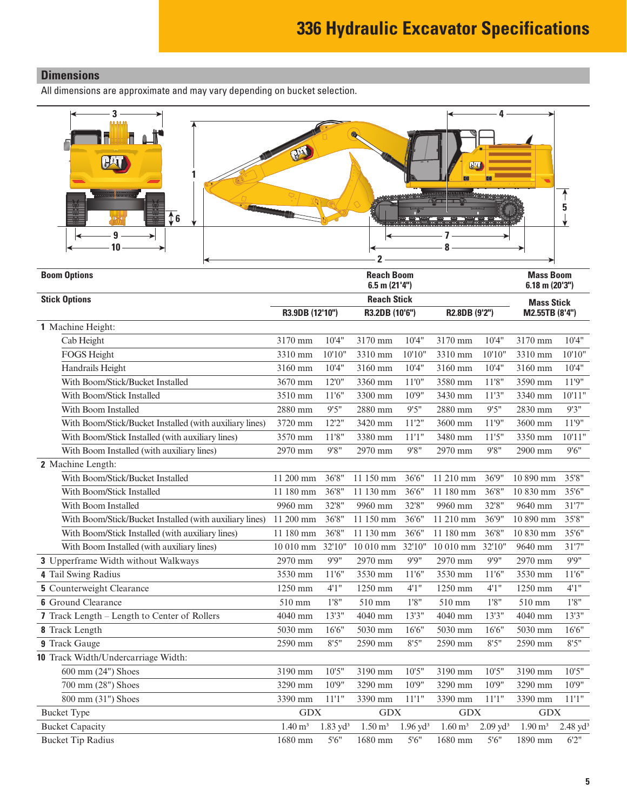### <span id="page-4-0"></span>**Dimensions**

All dimensions are approximate and may vary depending on bucket selection.

| 3<br>$\overline{16}$<br>q<br>10                         |                    |                     |                                         |                     |                    |                     |                                      |                     |
|---------------------------------------------------------|--------------------|---------------------|-----------------------------------------|---------------------|--------------------|---------------------|--------------------------------------|---------------------|
| <b>Boom Options</b>                                     |                    |                     | <b>Reach Boom</b><br>$6.5$ m $(21'4'')$ |                     |                    |                     | <b>Mass Boom</b><br>$6.18$ m (20'3") |                     |
| <b>Stick Options</b>                                    |                    |                     | <b>Reach Stick</b>                      |                     |                    |                     | <b>Mass Stick</b>                    |                     |
|                                                         | R3.9DB (12'10")    |                     | R3.2DB (10'6")                          |                     | R2.8DB (9'2")      |                     | M2.55TB (8'4")                       |                     |
| 1 Machine Height:                                       |                    |                     |                                         |                     |                    |                     |                                      |                     |
| Cab Height                                              | 3170 mm            | 10'4"               | 3170 mm                                 | 10'4"               | 3170 mm            | 10'4"               | 3170 mm                              | 10'4"               |
| FOGS Height                                             | 3310 mm            | 10'10"              | 3310 mm                                 | 10'10"              | 3310 mm            | 10'10"              | 3310 mm                              | 10'10"              |
| Handrails Height                                        | 3160 mm            | 10'4"               | 3160 mm                                 | 10'4"               | 3160 mm            | 10'4"               | 3160 mm                              | 10'4"               |
| With Boom/Stick/Bucket Installed                        | 3670 mm            | 12'0''              | 3360 mm                                 | 11'0"               | 3580 mm            | 11'8''              | 3590 mm                              | 11'9"               |
| With Boom/Stick Installed                               | 3510 mm            | 11'6"               | 3300 mm                                 | 10'9"               | 3430 mm            | 11'3''              | 3340 mm                              | 10'11"              |
| With Boom Installed                                     | 2880 mm            | 9'5''               | 2880 mm                                 | 9'5''               | 2880 mm            | 9'5''               | 2830 mm                              | 9'3''               |
| With Boom/Stick/Bucket Installed (with auxiliary lines) | 3720 mm            | 12'2''              | 3420 mm                                 | 11'2''              | 3600 mm            | 11'9"               | 3600 mm                              | 11'9"               |
| With Boom/Stick Installed (with auxiliary lines)        | 3570 mm            | 11'8''              | 3380 mm                                 | 11'1''              | 3480 mm            | 11'5''              | 3350 mm                              | 10'11"              |
| With Boom Installed (with auxiliary lines)              | 2970 mm            | 9'8''               | 2970 mm                                 | 9'8''               | 2970 mm            | 9'8''               | 2900 mm                              | 9'6''               |
| 2 Machine Length:                                       |                    |                     |                                         |                     |                    |                     |                                      |                     |
| With Boom/Stick/Bucket Installed                        | 11 200 mm          | 36'8"               | 11 150 mm                               | 36'6"               | 11 210 mm          | 36'9''              | 10 890 mm                            | 35'8"               |
| With Boom/Stick Installed                               | 11 180 mm          | 36'8"               | 11 130 mm                               | 36'6"               | 11 180 mm          | 36'8"               | 10 830 mm                            | 35'6"               |
| With Boom Installed                                     | 9960 mm            | 32'8"               | 9960 mm                                 | 32'8"               | 9960 mm            | 32'8"               | 9640 mm                              | 31'7"               |
| With Boom/Stick/Bucket Installed (with auxiliary lines) | 11 200 mm          | 36'8"               | 11 150 mm                               | 36'6"               | 11 210 mm          | 36'9"               | 10 890 mm                            | 35'8"               |
| With Boom/Stick Installed (with auxiliary lines)        | 11 180 mm          | 36'8"               | 11 130 mm                               | 36'6"               | 11 180 mm          | 36'8"               | 10 830 mm                            | 35'6"               |
| With Boom Installed (with auxiliary lines)              | 10 010 mm          | 32'10"              | 10 010 mm 32'10"                        |                     | 10 010 mm 32'10"   |                     | 9640 mm                              | 31'7"               |
| 3 Upperframe Width without Walkways                     | 2970 mm            | 9'9''               | 2970 mm                                 | 9'9''               | 2970 mm            | 9'9''               | 2970 mm                              | 9'9''               |
| 4 Tail Swing Radius                                     | 3530 mm            | 11'6''              | 3530 mm                                 | 11'6"               | 3530 mm            | 11'6''              | 3530 mm                              | 11'6''              |
| <b>5</b> Counterweight Clearance                        | 1250 mm            | 4'1''               | 1250 mm                                 | 4'1''               | 1250 mm            | 4'1''               | 1250 mm                              | 4'1''               |
| <b>6</b> Ground Clearance                               | 510 mm             | $1'8"$              | 510 mm                                  | $1'8"$              | 510 mm             | 1'8''               | 510 mm                               | 1'8''               |
| 7 Track Length - Length to Center of Rollers            | 4040 mm            | 13'3"               | 4040 mm                                 | 13'3''              | 4040 mm            | 13'3"               | 4040 mm                              | 13'3"               |
| 8 Track Length                                          | 5030 mm            | 16'6"               | 5030 mm                                 | 16'6"               | 5030 mm            | 16'6"               | 5030 mm                              | 16'6"               |
| 9 Track Gauge                                           | 2590 mm            | 8'5''               | 2590 mm                                 | 8'5''               | 2590 mm            | 8'5''               | 2590 mm                              | 8'5''               |
| 10 Track Width/Undercarriage Width:                     |                    |                     |                                         |                     |                    |                     |                                      |                     |
| 600 mm (24") Shoes                                      | 3190 mm            | 10'5"               | 3190 mm                                 | 10'5"               | 3190 mm            | 10'5"               | 3190 mm                              | 10'5"               |
| 700 mm (28") Shoes                                      | 3290 mm            | 10'9''              | 3290 mm                                 | 10'9"               | 3290 mm            | 10'9''              | 3290 mm                              | 10'9''              |
| 800 mm (31") Shoes                                      | 3390 mm            | 11'1''              | 3390 mm                                 | 11'1''              | 3390 mm            | 11'1"               | 3390 mm                              | 11'1"               |
| <b>Bucket Type</b>                                      | GDX                |                     | <b>GDX</b>                              |                     | <b>GDX</b>         |                     | $\operatorname{GDX}$                 |                     |
| <b>Bucket Capacity</b>                                  | $1.40 \text{ m}^3$ | $1.83 \text{ yd}^3$ | $1.50 \text{ m}^3$                      | $1.96 \text{ yd}^3$ | $1.60 \text{ m}^3$ | $2.09 \text{ yd}^3$ | $1.90 \text{ m}^3$                   | $2.48 \text{ yd}^3$ |
| <b>Bucket Tip Radius</b>                                | 1680 mm            | 5'6''               | 1680 mm                                 | 5'6''               | 1680 mm            | 5'6''               | 1890 mm                              | 6'2"                |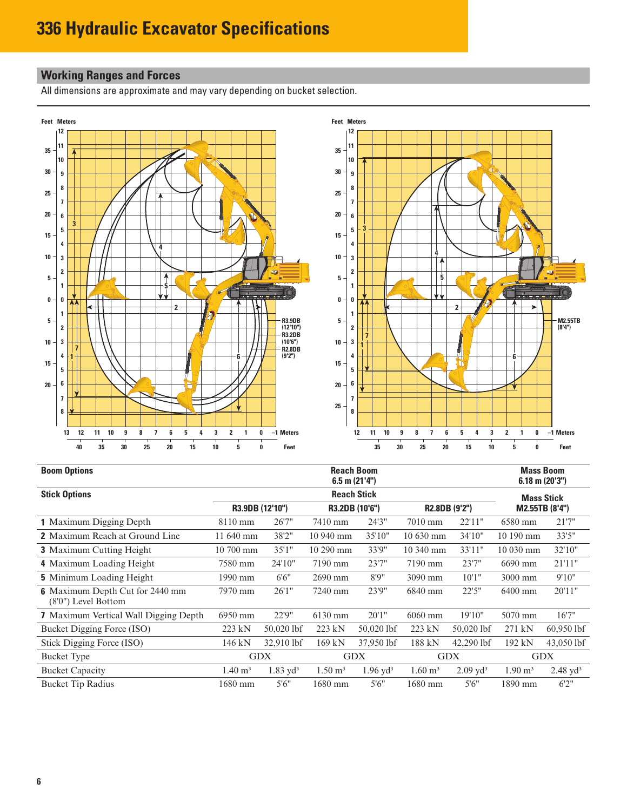### <span id="page-5-0"></span>**Working Ranges and Forces**

All dimensions are approximate and may vary depending on bucket selection.



| <b>Boom Options</b>                                           |                                                    | <b>Mass Boom</b><br>$6.18$ m $(20'3'')$ |                    |                     |                        |                        |                    |                     |  |
|---------------------------------------------------------------|----------------------------------------------------|-----------------------------------------|--------------------|---------------------|------------------------|------------------------|--------------------|---------------------|--|
| <b>Stick Options</b>                                          |                                                    | <b>Reach Stick</b>                      |                    |                     |                        |                        |                    |                     |  |
|                                                               | R3.9DB (12'10")<br>R3.2DB (10'6")<br>R2.8DB (9'2") |                                         |                    |                     |                        | M2.55TB (8'4")         |                    |                     |  |
| 1 Maximum Digging Depth                                       | $8110 \text{ mm}$                                  | 26'7''                                  | 7410 mm            | 24'3"               | 7010 mm                | 22'11"                 | 6580 mm            | 21'7"               |  |
| <b>2</b> Maximum Reach at Ground Line                         | 11 640 mm                                          | 38'2"                                   | 10 940 mm          | 35'10"              | $10630$ mm             | 34'10''                | $10190 \text{ mm}$ | 33'5"               |  |
| <b>3</b> Maximum Cutting Height                               | 10 700 mm                                          | 35'1''                                  | 10 290 mm          | 33'9"               | 10 340 mm              | 33'11"                 | 10 030 mm          | 32'10"              |  |
| 4 Maximum Loading Height                                      | 7580 mm                                            | 24'10"                                  | 7190 mm            | 23'7"               | 7190 mm                | 23'7''                 | 6690 mm            | 21'11"              |  |
| <b>5</b> Minimum Loading Height                               | 1990 mm                                            | 6'6''                                   | 2690 mm            | 8'9''               | 3090 mm                | 10'1"                  | 3000 mm            | 9'10"               |  |
| <b>6</b> Maximum Depth Cut for 2440 mm<br>(8'0") Level Bottom | 7970 mm                                            | 26'1''                                  | 7240 mm            | 23'9"               | 6840 mm                | 22'5''                 | 6400 mm            | 20'11"              |  |
| <b>7</b> Maximum Vertical Wall Digging Depth                  | 6950 mm                                            | 22'9"                                   | 6130 mm            | 20'1''              | $6060$ mm              | 19'10"                 | 5070 mm            | 16'7"               |  |
| Bucket Digging Force (ISO)                                    | 223 kN                                             | 50,020 lbf                              | 223 kN             | 50,020 lbf          | 223 kN                 | 50,020 lbf             | 271 kN             | $60,950$ lbf        |  |
| Stick Digging Force (ISO)                                     | 146 kN                                             | 32,910 lbf                              | 169 kN             | 37,950 lbf          | 188 kN                 | 42,290 lbf             | 192 kN             | 43,050 lbf          |  |
| <b>Bucket Type</b>                                            | <b>GDX</b>                                         |                                         | <b>GDX</b>         |                     | <b>GDX</b>             |                        | <b>GDX</b>         |                     |  |
| <b>Bucket Capacity</b>                                        | $1.40 \; \mathrm{m}^3$                             | $1.83 \text{ yd}^3$                     | $1.50 \text{ m}^3$ | $1.96 \text{ yd}^3$ | $1.60 \; \mathrm{m}^3$ | $2.09$ yd <sup>3</sup> | $1.90 \text{ m}^3$ | $2.48 \text{ yd}^3$ |  |
| <b>Bucket Tip Radius</b>                                      | 1680 mm                                            | 5'6''                                   | 1680 mm            | 5'6''               | 1680 mm                | 5'6''                  | 1890 mm            | 6'2''               |  |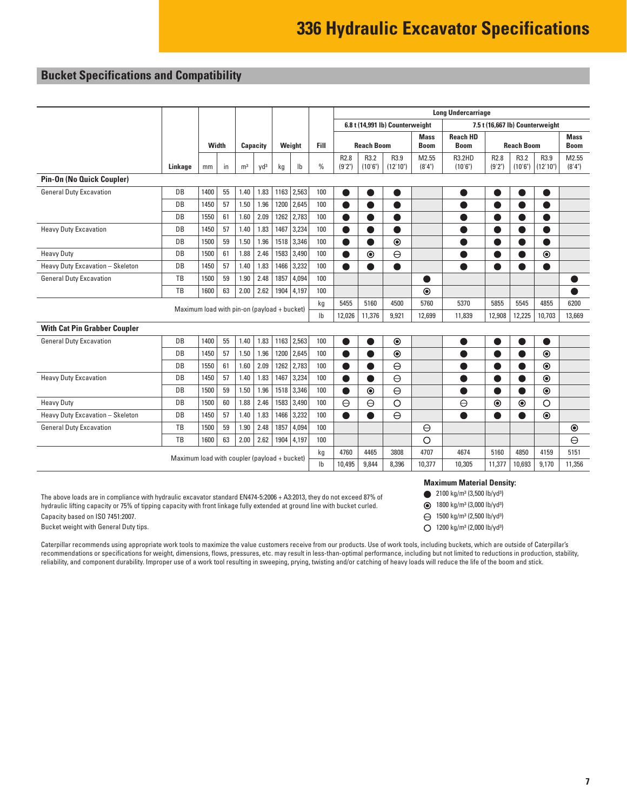### <span id="page-6-0"></span>**Bucket Specifications and Compatibility**

|                                              |           |       |    |                |                           |        |        |                           | <b>Long Undercarriage</b>                                          |                   |                  |                            |                                |                            |                   |                  |                            |
|----------------------------------------------|-----------|-------|----|----------------|---------------------------|--------|--------|---------------------------|--------------------------------------------------------------------|-------------------|------------------|----------------------------|--------------------------------|----------------------------|-------------------|------------------|----------------------------|
|                                              |           |       |    |                |                           |        |        |                           | 6.8 t (14,991 lb) Counterweight<br>7.5 t (16,667 lb) Counterweight |                   |                  |                            |                                |                            |                   |                  |                            |
|                                              |           | Width |    |                | Capacity                  |        | Weight | Fill                      |                                                                    | <b>Reach Boom</b> |                  | <b>Mass</b><br><b>Boom</b> | <b>Reach HD</b><br><b>Boom</b> |                            | <b>Reach Boom</b> |                  | <b>Mass</b><br><b>Boom</b> |
|                                              | Linkage   | mm    | in | m <sup>3</sup> | yd <sup>3</sup>           | kg     | Ib     | $\frac{0}{0}$             | R <sub>2.8</sub><br>(9'2")                                         | R3.2<br>(10'6")   | R3.9<br>(12'10") | M2.55<br>(8'4")            | <b>R3.2HD</b><br>(10'6")       | R <sub>2.8</sub><br>(9'2") | R3.2<br>(10'6")   | R3.9<br>(12'10") | M2.55<br>(8'4")            |
| Pin-On (No Quick Coupler)                    |           |       |    |                |                           |        |        |                           |                                                                    |                   |                  |                            |                                |                            |                   |                  |                            |
| <b>General Duty Excavation</b>               | DB        | 1400  | 55 | 1.40           | 1.83                      | 1163   | 2,563  | 100                       |                                                                    |                   |                  |                            |                                |                            |                   |                  |                            |
|                                              | DB        | 1450  | 57 | 1.50           | 1.96                      | 1200   | 2,645  | 100                       | Ŋ                                                                  |                   |                  |                            |                                |                            |                   |                  |                            |
|                                              | <b>DB</b> | 1550  | 61 | 1.60           | 2.09                      | 1262   | 2,783  | 100                       | ●                                                                  |                   | ▲                |                            |                                | $\bullet$                  |                   |                  |                            |
| <b>Heavy Duty Excavation</b>                 | DB        | 1450  | 57 | 1.40           | 1.83                      | 1467   | 3,234  | 100                       | Ð                                                                  |                   | ●                |                            |                                | $\bullet$                  |                   | $\bullet$        |                            |
|                                              | DB        | 1500  | 59 | 1.50           | 1.96                      | 1518   | 3,346  | 100                       |                                                                    |                   | $\odot$          |                            |                                | $\bullet$                  |                   |                  |                            |
| <b>Heavy Duty</b>                            | DB        | 1500  | 61 | 1.88           | 2.46                      | 1583   | 3,490  | 100                       |                                                                    | $\odot$           | $\ominus$        |                            |                                |                            |                   | $\circledcirc$   |                            |
| Heavy Duty Excavation - Skeleton             | DB        | 1450  | 57 | 1.40           | 1.83                      | 1466   | 3,232  | 100                       | $\bullet$                                                          |                   |                  |                            |                                | ●                          |                   |                  |                            |
| <b>General Duty Excavation</b>               | TB        | 1500  | 59 | 1.90           | 2.48                      | 1857   | 4,094  | 100                       |                                                                    |                   |                  |                            |                                |                            |                   |                  |                            |
|                                              | TB        | 1600  | 63 | 2.00           | 2.62                      | 1904   | 4,197  | 100                       |                                                                    |                   |                  | $\odot$                    |                                |                            |                   |                  |                            |
| Maximum load with pin-on (payload + bucket)  |           |       |    |                | kg                        | 5455   | 5160   | 4500                      | 5760                                                               | 5370              | 5855             | 5545                       | 4855                           | 6200                       |                   |                  |                            |
|                                              |           |       |    |                |                           |        |        | $\mathsf{I}^{\mathsf{b}}$ | 12,026                                                             | 11,376            | 9,921            | 12,699                     | 11,839                         | 12,908                     | 12,225            | 10,703           | 13.669                     |
| <b>With Cat Pin Grabber Coupler</b>          |           |       |    |                |                           |        |        |                           |                                                                    |                   |                  |                            |                                |                            |                   |                  |                            |
| <b>General Duty Excavation</b>               | DB        | 1400  | 55 | 1.40           | 1.83                      | 1163   | 2,563  | 100                       |                                                                    |                   | $\odot$          |                            |                                | O                          |                   |                  |                            |
|                                              | DB        | 1450  | 57 | 1.50           | 1.96                      | 1200   | 2,645  | 100                       | ●                                                                  |                   | $\odot$          |                            | ●                              | $\bullet$                  |                   | $\odot$          |                            |
|                                              | DB        | 1550  | 61 | 1.60           | 2.09                      | 1262   | 2,783  | 100                       |                                                                    |                   | $\ominus$        |                            |                                | $\bullet$                  |                   | $\odot$          |                            |
| <b>Heavy Duty Excavation</b>                 | DB        | 1450  | 57 | 1.40           | 1.83                      | 1467   | 3,234  | 100                       | ●                                                                  | O                 | $\Theta$         |                            | ●                              | $\bullet$                  |                   | $\odot$          |                            |
|                                              | DB        | 1500  | 59 | 1.50           | 1.96                      | 1518   | 3,346  | 100                       |                                                                    | $\odot$           | $\ominus$        |                            |                                | O                          |                   | $\odot$          |                            |
| <b>Heavy Duty</b>                            | DB        | 1500  | 60 | 1.88           | 2.46                      | 1583   | 3,490  | 100                       | $\ominus$                                                          | $\ominus$         | $\circ$          |                            | $\ominus$                      | $\odot$                    | $\odot$           | $\circ$          |                            |
| Heavy Duty Excavation - Skeleton             | DB        | 1450  | 57 | 1.40           | 1.83                      | 1466   | 3,232  | 100                       |                                                                    |                   | $\ominus$        |                            |                                | ●                          |                   | $\odot$          |                            |
| <b>General Duty Excavation</b>               | TB        | 1500  | 59 | 1.90           | 2.48                      | 1857   | 4,094  | 100                       |                                                                    |                   |                  | $\ominus$                  |                                |                            |                   |                  | $\odot$                    |
|                                              | TB        | 1600  | 63 | 2.00           | 2.62                      | 1904   | 4,197  | 100                       |                                                                    |                   |                  | $\circ$                    |                                |                            |                   |                  | $\ominus$                  |
|                                              |           |       |    |                |                           |        |        | kg                        | 4760                                                               | 4465              | 3808             | 4707                       | 4674                           | 5160                       | 4850              | 4159             | 5151                       |
| Maximum load with coupler (payload + bucket) |           |       |    |                | $\mathsf{I}^{\mathsf{b}}$ | 10,495 | 9,844  | 8,396                     | 10,377                                                             | 10,305            | 11,377           | 10,693                     | 9,170                          | 11,356                     |                   |                  |                            |

The above loads are in compliance with hydraulic excavator standard EN474-5:2006 + A3:2013, they do not exceed 87% of hydraulic lifting capacity or 75% of tipping capacity with front linkage fully extended at ground line with bucket curled. Capacity based on ISO 7451:2007.

Bucket weight with General Duty tips.

Caterpillar recommends using appropriate work tools to maximize the value customers receive from our products. Use of work tools, including buckets, which are outside of Caterpillar's recommendations or specifications for weight, dimensions, flows, pressures, etc. may result in less-than-optimal performance, including but not limited to reductions in production, stability, reliability, and component durability. Improper use of a work tool resulting in sweeping, prying, twisting and/or catching of heavy loads will reduce the life of the boom and stick.

#### **Maximum Material Density:**

- 2100 kg/m<sup>3</sup> (3,500 lb/yd<sup>3</sup>)
- 1800 kg/m3 (3,000 lb/yd3)
- $\Theta$  1500 kg/m<sup>3</sup> (2,500 lb/yd<sup>3</sup>)
- 1200 kg/m3 (2,000 lb/yd3)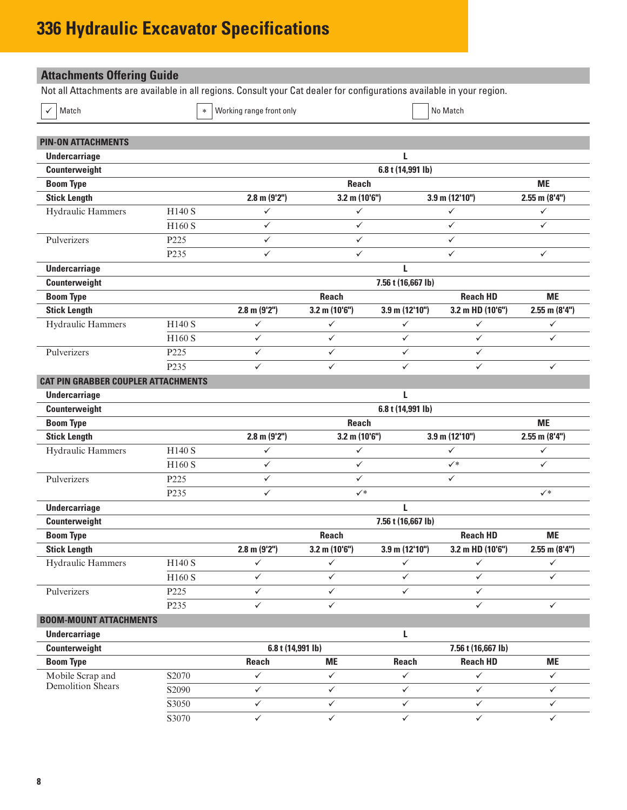# <span id="page-7-0"></span>**336 Hydraulic Excavator Specifications**

| <b>Attachments Offering Guide</b>                                                                                      |                  |                          |                              |                     |                    |                    |
|------------------------------------------------------------------------------------------------------------------------|------------------|--------------------------|------------------------------|---------------------|--------------------|--------------------|
| Not all Attachments are available in all regions. Consult your Cat dealer for configurations available in your region. |                  |                          |                              |                     |                    |                    |
| Match                                                                                                                  | $\ast$           | Working range front only |                              |                     | No Match           |                    |
| <b>PIN-ON ATTACHMENTS</b>                                                                                              |                  |                          |                              |                     |                    |                    |
| <b>Undercarriage</b>                                                                                                   |                  |                          |                              | L                   |                    |                    |
| Counterweight                                                                                                          |                  |                          |                              | 6.8 t (14,991 lb)   |                    |                    |
| <b>Boom Type</b>                                                                                                       |                  |                          | <b>Reach</b>                 |                     |                    | <b>ME</b>          |
| <b>Stick Length</b>                                                                                                    |                  | $2.8$ m $(9'2'')$        | $3.2$ m (10'6")              |                     | $3.9$ m (12'10")   | $2.55$ m $(8'4'')$ |
| Hydraulic Hammers                                                                                                      | H140 S           | $\checkmark$             | ✓                            |                     | $\checkmark$       | $\checkmark$       |
|                                                                                                                        | H160 S           | $\checkmark$             | $\checkmark$                 |                     | $\checkmark$       | $\checkmark$       |
| Pulverizers                                                                                                            | P <sub>225</sub> | ✓                        | $\checkmark$                 |                     | ✓                  |                    |
|                                                                                                                        | P235             | $\checkmark$             | ✓                            |                     | ✓                  | $\checkmark$       |
| <b>Undercarriage</b>                                                                                                   |                  |                          |                              | L                   |                    |                    |
| Counterweight                                                                                                          |                  |                          |                              | 7.56 t (16,667 lb)  |                    |                    |
| <b>Boom Type</b>                                                                                                       |                  |                          | <b>Reach</b>                 |                     | <b>Reach HD</b>    | <b>ME</b>          |
| <b>Stick Length</b>                                                                                                    |                  | $2.8$ m $(9'2'')$        | $3.2$ m (10'6")              | $3.9$ m (12'10")    | 3.2 m HD (10'6")   | $2.55$ m $(8'4'')$ |
| Hydraulic Hammers                                                                                                      | H140 S           | $\checkmark$             | $\checkmark$                 | $\checkmark$        | $\checkmark$       | $\checkmark$       |
|                                                                                                                        | H160 S           | ✓                        | ✓                            | ✓                   | $\checkmark$       | $\checkmark$       |
| Pulverizers                                                                                                            | P225             | ✓                        | ✓                            | ✓                   | $\checkmark$       |                    |
|                                                                                                                        | P235             | ✓                        | $\checkmark$<br>✓            |                     | $\checkmark$       | $\checkmark$       |
| <b>CAT PIN GRABBER COUPLER ATTACHMENTS</b>                                                                             |                  |                          |                              |                     |                    |                    |
| <b>Undercarriage</b>                                                                                                   |                  |                          |                              | L                   |                    |                    |
| Counterweight                                                                                                          |                  |                          |                              | 6.8 t (14,991 lb)   |                    |                    |
| <b>Boom Type</b>                                                                                                       |                  |                          | <b>Reach</b>                 |                     |                    | <b>ME</b>          |
| <b>Stick Length</b>                                                                                                    |                  | $2.8$ m (9'2")           | $3.2$ m (10'6")              |                     | 3.9 m (12'10")     | $2.55$ m $(8'4'')$ |
| Hydraulic Hammers                                                                                                      | H140 S           | ✓                        | $\checkmark$                 |                     | ✓                  | $\checkmark$       |
|                                                                                                                        | H160 S           | ✓                        | ✓                            |                     | $\checkmark^*$     | $\checkmark$       |
| Pulverizers                                                                                                            | P225             | ✓                        | ✓                            |                     | $\checkmark$       |                    |
|                                                                                                                        | P235             | ✓                        | $\checkmark^*$               |                     |                    | $\checkmark^*$     |
| <b>Undercarriage</b>                                                                                                   |                  |                          |                              | L                   |                    |                    |
| Counterweight                                                                                                          |                  |                          |                              | 7.56 t (16,667 lb)  |                    |                    |
| <b>Boom Type</b>                                                                                                       |                  |                          | <b>Reach</b>                 |                     | <b>Reach HD</b>    | <b>ME</b>          |
| <b>Stick Length</b>                                                                                                    |                  | $2.8$ m $(9'2'')$        | $3.2$ m (10'6")              | $3.9$ m $(12'10'')$ | 3.2 m HD (10'6")   | $2.55$ m $(8'4'')$ |
| Hydraulic Hammers                                                                                                      | H140 S           | ✓                        | ✓                            | ✓                   | ✓                  | $\checkmark$       |
|                                                                                                                        | H160 S           | $\checkmark$             | $\checkmark$                 | $\checkmark$        | $\checkmark$       | $\checkmark$       |
| Pulverizers                                                                                                            | P225             | $\checkmark$             | $\checkmark$<br>$\checkmark$ |                     | $\checkmark$       |                    |
|                                                                                                                        | P <sub>235</sub> | ✓                        | ✓                            |                     | ✓                  | $\checkmark$       |
| <b>BOOM-MOUNT ATTACHMENTS</b>                                                                                          |                  |                          |                              |                     |                    |                    |
| <b>Undercarriage</b>                                                                                                   |                  |                          |                              | L                   |                    |                    |
| Counterweight                                                                                                          |                  | 6.8 t (14,991 lb)        |                              |                     | 7.56 t (16,667 lb) |                    |
| <b>Boom Type</b>                                                                                                       |                  | <b>Reach</b>             | <b>ME</b>                    | Reach               | <b>Reach HD</b>    | <b>ME</b>          |
| Mobile Scrap and                                                                                                       | S2070            | $\checkmark$             | $\checkmark$                 | $\checkmark$        | $\checkmark$       | $\checkmark$       |
| <b>Demolition Shears</b>                                                                                               | S2090            | $\checkmark$             | $\checkmark$                 | $\checkmark$        | $\checkmark$       | $\checkmark$       |
|                                                                                                                        | S3050            | ✓                        | ✓                            | ✓                   | $\checkmark$       | $\checkmark$       |
|                                                                                                                        | S3070            | $\checkmark$             | $\checkmark$                 | $\checkmark$        | $\checkmark$       | $\checkmark$       |
|                                                                                                                        |                  |                          |                              |                     |                    |                    |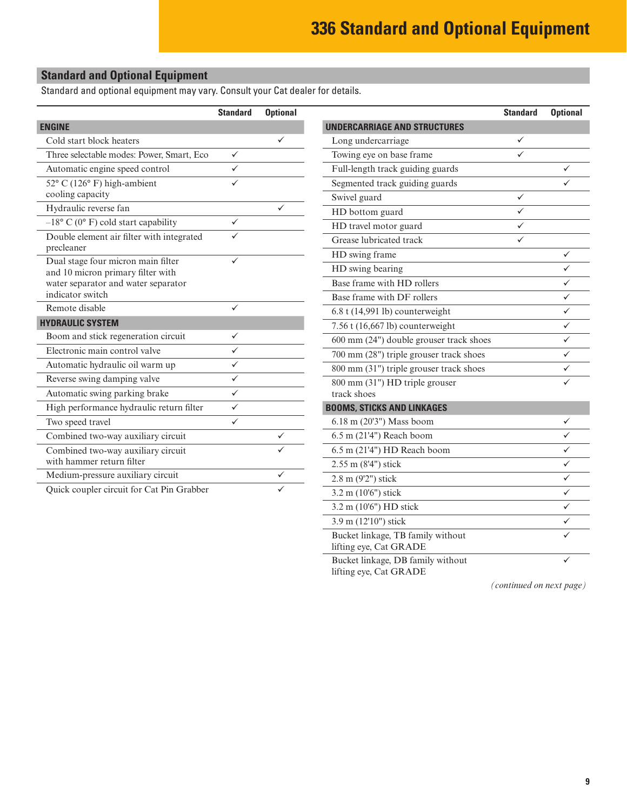3.9 m (12'10") stick

Bucket linkage, TB family without

Bucket linkage, DB family without

lifting eye, Cat GRADE

lifting eye, Cat GRADE

#### <span id="page-8-0"></span>**Standard and Optional Equipment**

Standard and optional equipment may vary. Consult your Cat dealer for details.

|                                                                         | <b>Standard</b> | <b>Optional</b> |                                         | <b>Standard</b> | <b>Optional</b> |
|-------------------------------------------------------------------------|-----------------|-----------------|-----------------------------------------|-----------------|-----------------|
| <b>ENGINE</b>                                                           |                 |                 | <b>UNDERCARRIAGE AND STRUCTURES</b>     |                 |                 |
| Cold start block heaters                                                |                 | ✓               | Long undercarriage                      | ✓               |                 |
| Three selectable modes: Power, Smart, Eco                               | $\checkmark$    |                 | Towing eye on base frame                | ✓               |                 |
| Automatic engine speed control                                          | $\checkmark$    |                 | Full-length track guiding guards        |                 | ✓               |
| $52^{\circ}$ C (126 $^{\circ}$ F) high-ambient                          | $\checkmark$    |                 | Segmented track guiding guards          |                 |                 |
| cooling capacity                                                        |                 |                 | Swivel guard                            | $\checkmark$    |                 |
| Hydraulic reverse fan                                                   |                 |                 | HD bottom guard                         | ✓               |                 |
| $-18$ ° C (0° F) cold start capability                                  | $\checkmark$    |                 | HD travel motor guard                   | ✓               |                 |
| Double element air filter with integrated                               | ✓               |                 | Grease lubricated track                 | ✓               |                 |
| precleaner                                                              |                 |                 | HD swing frame                          |                 | ✓               |
| Dual stage four micron main filter<br>and 10 micron primary filter with | ✓               |                 | HD swing bearing                        |                 |                 |
| water separator and water separator                                     |                 |                 | Base frame with HD rollers              |                 | ✓               |
| indicator switch                                                        |                 |                 | Base frame with DF rollers              |                 | ✓               |
| Remote disable                                                          | $\checkmark$    |                 | 6.8 t (14,991 lb) counterweight         |                 | ✓               |
| <b>HYDRAULIC SYSTEM</b>                                                 |                 |                 | 7.56 t (16,667 lb) counterweight        |                 | ✓               |
| Boom and stick regeneration circuit                                     | $\checkmark$    |                 | 600 mm (24") double grouser track shoes |                 | ✓               |
| Electronic main control valve                                           | $\checkmark$    |                 | 700 mm (28") triple grouser track shoes |                 |                 |
| Automatic hydraulic oil warm up                                         | $\checkmark$    |                 | 800 mm (31") triple grouser track shoes |                 | ✓               |
| Reverse swing damping valve                                             | $\checkmark$    |                 | 800 mm (31") HD triple grouser          |                 | ✓               |
| Automatic swing parking brake                                           | $\checkmark$    |                 | track shoes                             |                 |                 |
| High performance hydraulic return filter                                | $\checkmark$    |                 | <b>BOOMS, STICKS AND LINKAGES</b>       |                 |                 |
| Two speed travel                                                        | $\checkmark$    |                 | 6.18 m (20'3") Mass boom                |                 | ✓               |
| Combined two-way auxiliary circuit                                      |                 | ✓               | 6.5 m (21'4") Reach boom                |                 |                 |
| Combined two-way auxiliary circuit                                      |                 | ✓               | 6.5 m (21'4") HD Reach boom             |                 |                 |
| with hammer return filter                                               |                 |                 | 2.55 m (8'4") stick                     |                 | ✓               |
| Medium-pressure auxiliary circuit                                       |                 | ✓               | 2.8 m (9'2") stick                      |                 |                 |
| Quick coupler circuit for Cat Pin Grabber                               |                 |                 | 3.2 m (10'6") stick                     |                 |                 |
|                                                                         |                 |                 | 3.2 m (10'6") HD stick                  |                 | ✓               |

*(continued on next page)*

 $\checkmark$ 

 $\checkmark$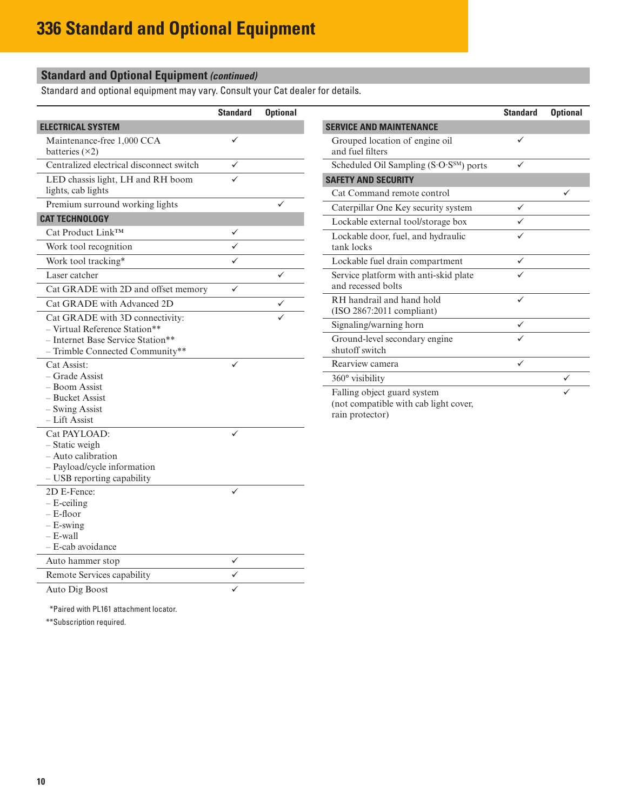### **Standard and Optional Equipment** *(continued)*

Standard and optional equipment may vary. Consult your Cat dealer for details.

|                                                                                                                                          | <b>Standard</b> | <b>Optional</b> |
|------------------------------------------------------------------------------------------------------------------------------------------|-----------------|-----------------|
| <b>ELECTRICAL SYSTEM</b>                                                                                                                 |                 |                 |
| Maintenance-free 1,000 CCA<br>batteries $(\times 2)$                                                                                     |                 |                 |
| Centralized electrical disconnect switch                                                                                                 |                 |                 |
| LED chassis light, LH and RH boom<br>lights, cab lights                                                                                  |                 |                 |
| Premium surround working lights                                                                                                          |                 |                 |
| <b>CAT TECHNOLOGY</b>                                                                                                                    |                 |                 |
| Cat Product Link™                                                                                                                        |                 |                 |
| Work tool recognition                                                                                                                    |                 |                 |
| Work tool tracking*                                                                                                                      |                 |                 |
| Laser catcher                                                                                                                            |                 |                 |
| Cat GRADE with 2D and offset memory                                                                                                      |                 |                 |
| Cat GRADE with Advanced 2D                                                                                                               |                 |                 |
| Cat GRADE with 3D connectivity:<br>- Virtual Reference Station**<br>- Internet Base Service Station**<br>- Trimble Connected Community** |                 |                 |
| Cat Assist:<br>– Grade Assist<br>– Boom Assist<br>- Bucket Assist<br>- Swing Assist<br>– Lift Assist                                     |                 |                 |
| Cat PAYLOAD:<br>- Static weigh<br>– Auto calibration<br>- Payload/cycle information<br>- USB reporting capability                        |                 |                 |
| 2D E-Fence:<br>– E-ceiling<br>– E-floor<br>$-$ E-swing<br>$-$ E-wall<br>– E-cab avoidance                                                |                 |                 |
| Auto hammer stop                                                                                                                         | ✓               |                 |
| Remote Services capability                                                                                                               |                 |                 |
| Auto Dig Boost                                                                                                                           |                 |                 |

|                                                                      | <b>Standard</b> | <b>Optional</b> |
|----------------------------------------------------------------------|-----------------|-----------------|
| <b>SERVICE AND MAINTENANCE</b>                                       |                 |                 |
| Grouped location of engine oil<br>and fuel filters                   | ✓               |                 |
| Scheduled Oil Sampling $(S \cdot O \cdot S^{SM})$ ports              | ✓               |                 |
| <b>SAFETY AND SECURITY</b>                                           |                 |                 |
| Cat Command remote control                                           |                 |                 |
| Caterpillar One Key security system                                  | ✓               |                 |
| Lockable external tool/storage box                                   |                 |                 |
| Lockable door, fuel, and hydraulic<br>tank locks                     | ✓               |                 |
| Lockable fuel drain compartment                                      | ✓               |                 |
| Service platform with anti-skid plate<br>and recessed bolts          |                 |                 |
| RH handrail and hand hold<br>$(ISO 2867:2011$ compliant)             | ✓               |                 |
| Signaling/warning horn                                               | ✓               |                 |
| Ground-level secondary engine<br>shutoff switch                      |                 |                 |
| Rearview camera                                                      |                 |                 |
| $360^\circ$ visibility                                               |                 |                 |
| Falling object guard system<br>(not compatible with cab light cover, |                 |                 |

rain protector)

\*Paired with PL161 attachment locator.

\*\*Subscription required.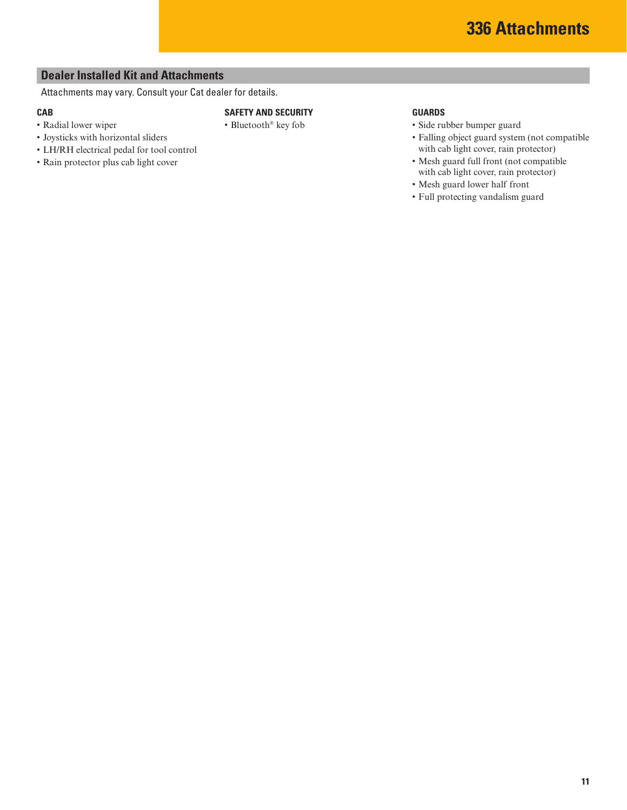#### <span id="page-10-0"></span>**Dealer Installed Kit and Attachments**

Attachments may vary. Consult your Cat dealer for details.

#### **CAB**

- Radial lower wiper
- Joysticks with horizontal sliders
- LH/RH electrical pedal for tool control
- Rain protector plus cab light cover

#### **SAFETY AND SECURITY**

• Bluetooth® key fob

• Side rubber bumper guard • Falling object guard system (not compatible

**GUARDS**

- with cab light cover, rain protector) • Mesh guard full front (not compatible with cab light cover, rain protector)
- Mesh guard lower half front
- Full protecting vandalism guard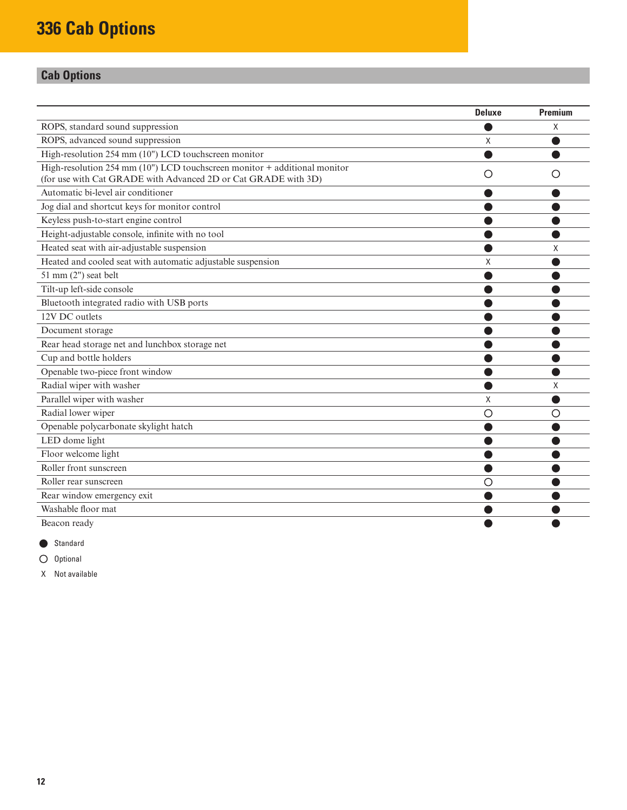# <span id="page-11-0"></span>**Cab Options**

|                                                                               | <b>Deluxe</b> | <b>Premium</b> |
|-------------------------------------------------------------------------------|---------------|----------------|
| ROPS, standard sound suppression                                              |               | X              |
| ROPS, advanced sound suppression                                              | X             |                |
| High-resolution 254 mm (10") LCD touchscreen monitor                          |               |                |
| High-resolution 254 mm $(10")$ LCD touchscreen monitor $+$ additional monitor | ()            |                |
| (for use with Cat GRADE with Advanced 2D or Cat GRADE with 3D)                |               |                |
| Automatic bi-level air conditioner                                            |               |                |
| Jog dial and shortcut keys for monitor control                                |               |                |
| Keyless push-to-start engine control                                          |               |                |
| Height-adjustable console, infinite with no tool                              |               |                |
| Heated seat with air-adjustable suspension                                    |               | Χ              |
| Heated and cooled seat with automatic adjustable suspension                   | X             |                |
| 51 mm (2") seat belt                                                          |               |                |
| Tilt-up left-side console                                                     |               |                |
| Bluetooth integrated radio with USB ports                                     |               |                |
| 12V DC outlets                                                                |               |                |
| Document storage                                                              |               |                |
| Rear head storage net and lunchbox storage net                                |               |                |
| Cup and bottle holders                                                        |               |                |
| Openable two-piece front window                                               |               |                |
| Radial wiper with washer                                                      |               | X              |
| Parallel wiper with washer                                                    | X             |                |
| Radial lower wiper                                                            | Ω             | Ο              |
| Openable polycarbonate skylight hatch                                         |               |                |
| LED dome light                                                                |               |                |
| Floor welcome light                                                           |               |                |
| Roller front sunscreen                                                        |               |                |
| Roller rear sunscreen                                                         | O             |                |
| Rear window emergency exit                                                    |               |                |
| Washable floor mat                                                            |               |                |
| Beacon ready                                                                  |               |                |

Standard

 $O$  Optional

X Not available